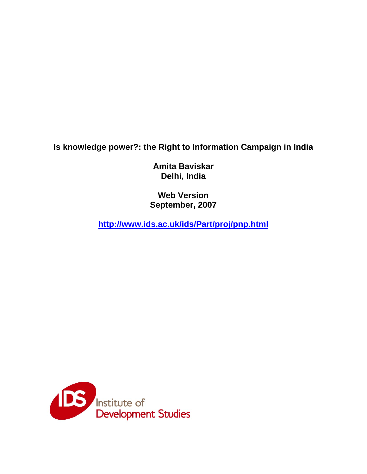**Is knowledge power?: the Right to Information Campaign in India** 

**Amita Baviskar Delhi, India** 

**Web Version September, 2007** 

**http://www.ids.ac.uk/ids/Part/proj/pnp.html**

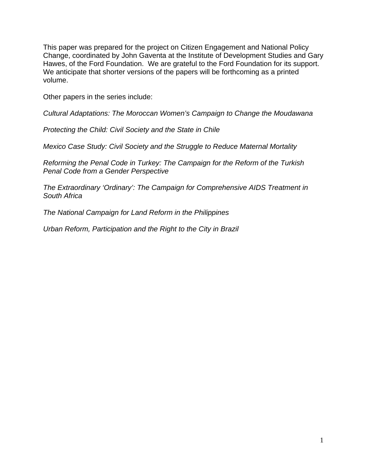This paper was prepared for the project on Citizen Engagement and National Policy Change, coordinated by John Gaventa at the Institute of Development Studies and Gary Hawes, of the Ford Foundation. We are grateful to the Ford Foundation for its support. We anticipate that shorter versions of the papers will be forthcoming as a printed volume.

Other papers in the series include:

*Cultural Adaptations: The Moroccan Women's Campaign to Change the Moudawana* 

*Protecting the Child: Civil Society and the State in Chile* 

*Mexico Case Study: Civil Society and the Struggle to Reduce Maternal Mortality* 

*Reforming the Penal Code in Turkey: The Campaign for the Reform of the Turkish Penal Code from a Gender Perspective* 

*The Extraordinary 'Ordinary': The Campaign for Comprehensive AIDS Treatment in South Africa* 

*The National Campaign for Land Reform in the Philippines* 

*Urban Reform, Participation and the Right to the City in Brazil*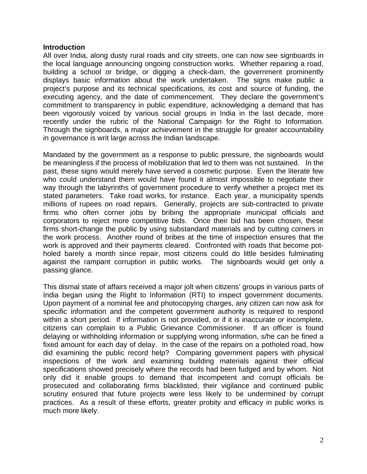#### **Introduction**

All over India, along dusty rural roads and city streets, one can now see signboards in the local language announcing ongoing construction works. Whether repairing a road, building a school or bridge, or digging a check-dam, the government prominently displays basic information about the work undertaken. The signs make public a project's purpose and its technical specifications, its cost and source of funding, the executing agency, and the date of commencement. They declare the government's commitment to transparency in public expenditure, acknowledging a demand that has been vigorously voiced by various social groups in India in the last decade, more recently under the rubric of the National Campaign for the Right to Information. Through the signboards, a major achievement in the struggle for greater accountability in governance is writ large across the Indian landscape.

Mandated by the government as a response to public pressure, the signboards would be meaningless if the process of mobilization that led to them was not sustained. In the past, these signs would merely have served a cosmetic purpose. Even the literate few who could understand them would have found it almost impossible to negotiate their way through the labyrinths of government procedure to verify whether a project met its stated parameters. Take road works, for instance. Each year, a municipality spends millions of rupees on road repairs. Generally, projects are sub-contracted to private firms who often corner jobs by bribing the appropriate municipal officials and corporators to reject more competitive bids. Once their bid has been chosen, these firms short-change the public by using substandard materials and by cutting corners in the work process. Another round of bribes at the time of inspection ensures that the work is approved and their payments cleared. Confronted with roads that become potholed barely a month since repair, most citizens could do little besides fulminating against the rampant corruption in public works. The signboards would get only a passing glance.

This dismal state of affairs received a major jolt when citizens' groups in various parts of India began using the Right to Information (RTI) to inspect government documents. Upon payment of a nominal fee and photocopying charges, any citizen can now ask for specific information and the competent government authority is required to respond within a short period. If information is not provided, or if it is inaccurate or incomplete, citizens can complain to a Public Grievance Commissioner. If an officer is found delaying or withholding information or supplying wrong information, s/he can be fined a fixed amount for each day of delay. In the case of the repairs on a potholed road, how did examining the public record help? Comparing government papers with physical inspections of the work and examining building materials against their official specifications showed precisely where the records had been fudged and by whom. Not only did it enable groups to demand that incompetent and corrupt officials be prosecuted and collaborating firms blacklisted, their vigilance and continued public scrutiny ensured that future projects were less likely to be undermined by corrupt practices. As a result of these efforts, greater probity and efficacy in public works is much more likely.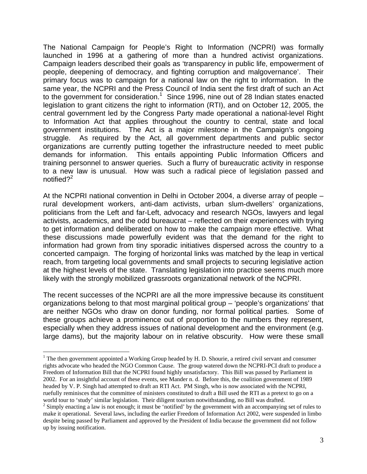The National Campaign for People's Right to Information (NCPRI) was formally launched in 1996 at a gathering of more than a hundred activist organizations. Campaign leaders described their goals as 'transparency in public life, empowerment of people, deepening of democracy, and fighting corruption and malgovernance'. Their primary focus was to campaign for a national law on the right to information. In the same year, the NCPRI and the Press Council of India sent the first draft of such an Act to the government for consideration. $1$  Since 1996, nine out of 28 Indian states enacted legislation to grant citizens the right to information (RTI), and on October 12, 2005, the central government led by the Congress Party made operational a national-level Right to Information Act that applies throughout the country to central, state and local government institutions. The Act is a major milestone in the Campaign's ongoing struggle. As required by the Act, all government departments and public sector organizations are currently putting together the infrastructure needed to meet public demands for information. This entails appointing Public Information Officers and training personnel to answer queries. Such a flurry of bureaucratic activity in response to a new law is unusual. How was such a radical piece of legislation passed and notified?<sup>2</sup>

At the NCPRI national convention in Delhi in October 2004, a diverse array of people – rural development workers, anti-dam activists, urban slum-dwellers' organizations, politicians from the Left and far-Left, advocacy and research NGOs, lawyers and legal activists, academics, and the odd bureaucrat – reflected on their experiences with trying to get information and deliberated on how to make the campaign more effective. What these discussions made powerfully evident was that the demand for the right to information had grown from tiny sporadic initiatives dispersed across the country to a concerted campaign. The forging of horizontal links was matched by the leap in vertical reach, from targeting local governments and small projects to securing legislative action at the highest levels of the state. Translating legislation into practice seems much more likely with the strongly mobilized grassroots organizational network of the NCPRI.

The recent successes of the NCPRI are all the more impressive because its constituent organizations belong to that most marginal political group – 'people's organizations' that are neither NGOs who draw on donor funding, nor formal political parties. Some of these groups achieve a prominence out of proportion to the numbers they represent, especially when they address issues of national development and the environment (e.g. large dams), but the majority labour on in relative obscurity. How were these small

<sup>&</sup>lt;sup>1</sup> The then government appointed a Working Group headed by H. D. Shourie, a retired civil servant and consumer rights advocate who headed the NGO Common Cause. The group watered down the NCPRI-PCI draft to produce a Freedom of Information Bill that the NCPRI found highly unsatisfactory. This Bill was passed by Parliament in 2002. For an insightful account of these events, see Mander n. d. Before this, the coalition government of 1989 headed by V. P. Singh had attempted to draft an RTI Act. PM Singh, who is now associated with the NCPRI, ruefully reminisces that the committee of ministers constituted to draft a Bill used the RTI as a pretext to go on a world tour to 'study' similar legislation. Their diligent tourism notwithstanding, no Bill was drafted.

 $\frac{2}{3}$  Simply enacting a law is not enough; it must be 'notified' by the government with an accompanying set of rules to make it operational. Several laws, including the earlier Freedom of Information Act 2002, were suspended in limbo despite being passed by Parliament and approved by the President of India because the government did not follow up by issuing notification.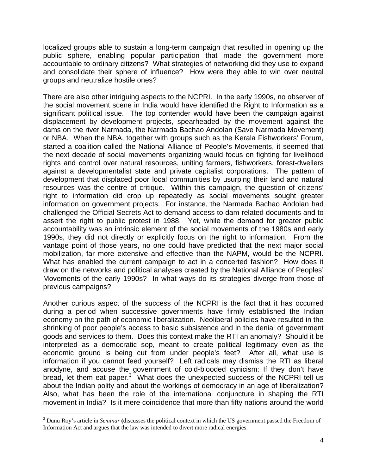localized groups able to sustain a long-term campaign that resulted in opening up the public sphere, enabling popular participation that made the government more accountable to ordinary citizens? What strategies of networking did they use to expand and consolidate their sphere of influence? How were they able to win over neutral groups and neutralize hostile ones?

There are also other intriguing aspects to the NCPRI. In the early 1990s, no observer of the social movement scene in India would have identified the Right to Information as a significant political issue. The top contender would have been the campaign against displacement by development projects, spearheaded by the movement against the dams on the river Narmada, the Narmada Bachao Andolan (Save Narmada Movement) or NBA. When the NBA, together with groups such as the Kerala Fishworkers' Forum, started a coalition called the National Alliance of People's Movements, it seemed that the next decade of social movements organizing would focus on fighting for livelihood rights and control over natural resources, uniting farmers, fishworkers, forest-dwellers against a developmentalist state and private capitalist corporations. The pattern of development that displaced poor local communities by usurping their land and natural resources was the centre of critique. Within this campaign, the question of citizens' right to information did crop up repeatedly as social movements sought greater information on government projects. For instance, the Narmada Bachao Andolan had challenged the Official Secrets Act to demand access to dam-related documents and to assert the right to public protest in 1988. Yet, while the demand for greater public accountability was an intrinsic element of the social movements of the 1980s and early 1990s, they did not directly or explicitly focus on the right to information. From the vantage point of those years, no one could have predicted that the next major social mobilization, far more extensive and effective than the NAPM, would be the NCPRI. What has enabled the current campaign to act in a concerted fashion? How does it draw on the networks and political analyses created by the National Alliance of Peoples' Movements of the early 1990s? In what ways do its strategies diverge from those of previous campaigns?

Another curious aspect of the success of the NCPRI is the fact that it has occurred during a period when successive governments have firmly established the Indian economy on the path of economic liberalization. Neoliberal policies have resulted in the shrinking of poor people's access to basic subsistence and in the denial of government goods and services to them. Does this context make the RTI an anomaly? Should it be interpreted as a democratic sop, meant to create political legitimacy even as the economic ground is being cut from under people's feet? After all, what use is information if you cannot feed yourself? Left radicals may dismiss the RTI as liberal anodyne, and accuse the government of cold-blooded cynicism: If they don't have bread, let them eat paper.<sup>3</sup> What does the unexpected success of the NCPRI tell us about the Indian polity and about the workings of democracy in an age of liberalization? Also, what has been the role of the international conjuncture in shaping the RTI movement in India? Is it mere coincidence that more than fifty nations around the world

1

<sup>3</sup> Dunu Roy's article in *Seminar* **(**discusses the political context in which the US government passed the Freedom of Information Act and argues that the law was intended to divert more radical energies.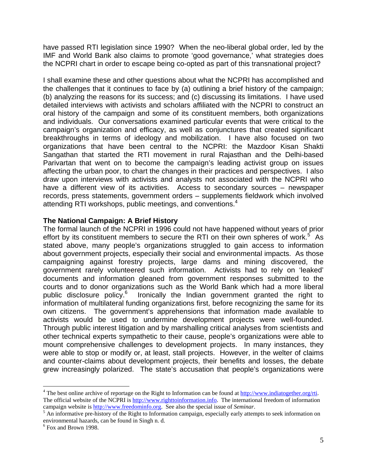have passed RTI legislation since 1990? When the neo-liberal global order, led by the IMF and World Bank also claims to promote 'good governance,' what strategies does the NCPRI chart in order to escape being co-opted as part of this transnational project?

I shall examine these and other questions about what the NCPRI has accomplished and the challenges that it continues to face by (a) outlining a brief history of the campaign; (b) analyzing the reasons for its success; and (c) discussing its limitations. I have used detailed interviews with activists and scholars affiliated with the NCPRI to construct an oral history of the campaign and some of its constituent members, both organizations and individuals. Our conversations examined particular events that were critical to the campaign's organization and efficacy, as well as conjunctures that created significant breakthroughs in terms of ideology and mobilization. I have also focused on two organizations that have been central to the NCPRI: the Mazdoor Kisan Shakti Sangathan that started the RTI movement in rural Rajasthan and the Delhi-based Parivartan that went on to become the campaign's leading activist group on issues affecting the urban poor, to chart the changes in their practices and perspectives. I also draw upon interviews with activists and analysts not associated with the NCPRI who have a different view of its activities. Access to secondary sources – newspaper records, press statements, government orders – supplements fieldwork which involved attending RTI workshops, public meetings, and conventions.<sup>4</sup>

## **The National Campaign: A Brief History**

The formal launch of the NCPRI in 1996 could not have happened without years of prior effort by its constituent members to secure the RTI on their own spheres of work.<sup>5</sup> As stated above, many people's organizations struggled to gain access to information about government projects, especially their social and environmental impacts. As those campaigning against forestry projects, large dams and mining discovered, the government rarely volunteered such information. Activists had to rely on 'leaked' documents and information gleaned from government responses submitted to the courts and to donor organizations such as the World Bank which had a more liberal public disclosure policy.<sup>6</sup> Ironically the Indian government granted the right to information of multilateral funding organizations first, before recognizing the same for its own citizens. The government's apprehensions that information made available to activists would be used to undermine development projects were well-founded. Through public interest litigation and by marshalling critical analyses from scientists and other technical experts sympathetic to their cause, people's organizations were able to mount comprehensive challenges to development projects. In many instances, they were able to stop or modify or, at least, stall projects. However, in the welter of claims and counter-claims about development projects, their benefits and losses, the debate grew increasingly polarized. The state's accusation that people's organizations were

<sup>&</sup>lt;sup>4</sup> The best online archive of reportage on the Right to Information can be found at  $\frac{http://www.indiatogether.org/rti.}$ The official website of the NCPRI is http://www.righttoinformation.info. The international freedom of information

campaign website is **http://www.freedominfo.org.** See also the special issue of *Seminar*.<br><sup>5</sup> An informative pre-history of the Right to Information campaign, especially early attempts to seek information on environmental hazards, can be found in Singh n. d.

<sup>6</sup> Fox and Brown 1998.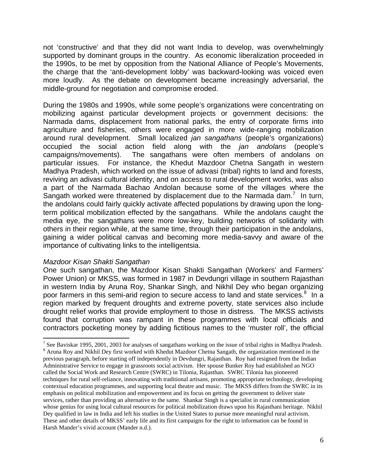not 'constructive' and that they did not want India to develop, was overwhelmingly supported by dominant groups in the country. As economic liberalization proceeded in the 1990s, to be met by opposition from the National Alliance of People's Movements, the charge that the 'anti-development lobby' was backward-looking was voiced even more loudly. As the debate on development became increasingly adversarial, the middle-ground for negotiation and compromise eroded.

During the 1980s and 1990s, while some people's organizations were concentrating on mobilizing against particular development projects or government decisions: the Narmada dams, displacement from national parks, the entry of corporate firms into agriculture and fisheries, others were engaged in more wide-ranging mobilization around rural development. Small localized *jan sangathans* (people's organizations) occupied the social action field along with the *jan andolans* (people's campaigns/movements). The sangathans were often members of andolans on particular issues. For instance, the Khedut Mazdoor Chetna Sangath in western Madhya Pradesh, which worked on the issue of adivasi (tribal) rights to land and forests, reviving an adivasi cultural identity, and on access to rural development works, was also a part of the Narmada Bachao Andolan because some of the villages where the Sangath worked were threatened by displacement due to the Narmada dam.<sup>7</sup> In turn, the andolans could fairly quickly activate affected populations by drawing upon the longterm political mobilization effected by the sangathans. While the andolans caught the media eye, the sangathans were more low-key, building networks of solidarity with others in their region while, at the same time, through their participation in the andolans, gaining a wider political canvas and becoming more media-savvy and aware of the importance of cultivating links to the intelligentsia.

#### *Mazdoor Kisan Shakti Sangathan*

One such sangathan, the Mazdoor Kisan Shakti Sangathan (Workers' and Farmers' Power Union) or MKSS, was formed in 1987 in Devdungri village in southern Rajasthan in western India by Aruna Roy, Shankar Singh, and Nikhil Dey who began organizing poor farmers in this semi-arid region to secure access to land and state services.<sup>8</sup> In a region marked by frequent droughts and extreme poverty, state services also include drought relief works that provide employment to those in distress. The MKSS activists found that corruption was rampant in these programmes with local officials and contractors pocketing money by adding fictitious names to the 'muster roll', the official

The Baviskar 1995, 2001, 2003 for analyses of sangathans working on the issue of tribal rights in Madhya Pradesh. <sup>8</sup> Aruna Roy and Nikhil Dey first worked with Khedut Mazdoor Chetna Sangath, the organization mentioned in the previous paragraph, before starting off independently in Devdungri, Rajasthan. Roy had resigned from the Indian Administrative Service to engage in grassroots social activism. Her spouse Bunker Roy had established an NGO called the Social Work and Research Centre (SWRC) in Tilonia, Rajasthan. SWRC Tilonia has pioneered techniques for rural self-reliance, innovating with traditional artisans, promoting appropriate technology, developing contextual education programmes, and supporting local theatre and music. The MKSS differs from the SWRC in its emphasis on political mobilization and empowerment and its focus on getting the government to deliver state services, rather than providing an alternative to the same. Shankar Singh is a specialist in rural communication whose genius for using local cultural resources for political mobilization draws upon his Rajasthani heritage. Nikhil Dey qualified in law in India and left his studies in the United States to pursue more meaningful rural activism. These and other details of MKSS' early life and its first campaigns for the right to information can be found in Harsh Mander's vivid account (Mander n.d.).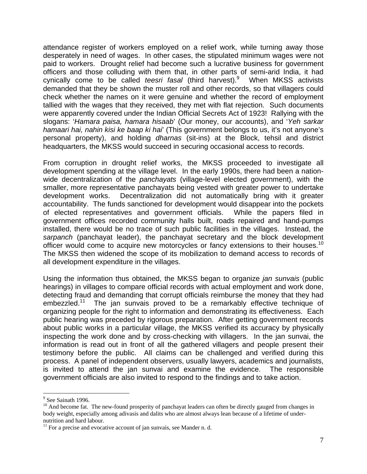attendance register of workers employed on a relief work, while turning away those desperately in need of wages. In other cases, the stipulated minimum wages were not paid to workers. Drought relief had become such a lucrative business for government officers and those colluding with them that, in other parts of semi-arid India, it had cynically come to be called *teesri fasal* (third harvest).<sup>9</sup> When MKSS activists demanded that they be shown the muster roll and other records, so that villagers could check whether the names on it were genuine and whether the record of employment tallied with the wages that they received, they met with flat rejection. Such documents were apparently covered under the Indian Official Secrets Act of 1923! Rallying with the slogans: '*Hamara paisa, hamara hisaab*' (Our money, our accounts), and '*Yeh sarkar hamaari hai, nahin kisi ke baap ki hai*' (This government belongs to us, it's not anyone's personal property), and holding *dharnas* (sit-ins) at the Block, tehsil and district headquarters, the MKSS would succeed in securing occasional access to records.

From corruption in drought relief works, the MKSS proceeded to investigate all development spending at the village level. In the early 1990s, there had been a nationwide decentralization of the *panchayats* (village-level elected government), with the smaller, more representative panchayats being vested with greater power to undertake development works. Decentralization did not automatically bring with it greater accountability. The funds sanctioned for development would disappear into the pockets of elected representatives and government officials. While the papers filed in government offices recorded community halls built, roads repaired and hand-pumps installed, there would be no trace of such public facilities in the villages. Instead, the *sarpanch* (panchayat leader), the panchayat secretary and the block development officer would come to acquire new motorcycles or fancy extensions to their houses.<sup>10</sup> The MKSS then widened the scope of its mobilization to demand access to records of all development expenditure in the villages.

Using the information thus obtained, the MKSS began to organize *jan sunvais* (public hearings) in villages to compare official records with actual employment and work done, detecting fraud and demanding that corrupt officials reimburse the money that they had embezzled.<sup>11</sup> The jan sunvais proved to be a remarkably effective technique of organizing people for the right to information and demonstrating its effectiveness. Each public hearing was preceded by rigorous preparation. After getting government records about public works in a particular village, the MKSS verified its accuracy by physically inspecting the work done and by cross-checking with villagers. In the jan sunvai, the information is read out in front of all the gathered villagers and people present their testimony before the public. All claims can be challenged and verified during this process. A panel of independent observers, usually lawyers, academics and journalists, is invited to attend the jan sunvai and examine the evidence. The responsible government officials are also invited to respond to the findings and to take action.

<sup>&</sup>lt;sup>9</sup> See Sainath 1996.

<sup>&</sup>lt;sup>10</sup> And become fat. The new-found prosperity of panchayat leaders can often be directly gauged from changes in body weight, especially among adivasis and dalits who are almost always lean because of a lifetime of undernutrition and hard labour.

 $11$  For a precise and evocative account of jan sunvais, see Mander n. d.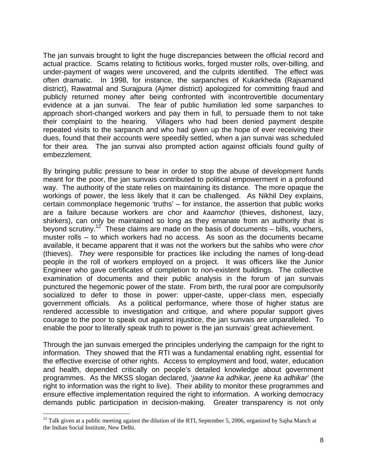The jan sunvais brought to light the huge discrepancies between the official record and actual practice. Scams relating to fictitious works, forged muster rolls, over-billing, and under-payment of wages were uncovered, and the culprits identified. The effect was often dramatic. In 1998, for instance, the sarpanches of Kukarkheda (Rajsamand district), Rawatmal and Surajpura (Ajmer district) apologized for committing fraud and publicly returned money after being confronted with incontrovertible documentary evidence at a jan sunvai. The fear of public humiliation led some sarpanches to approach short-changed workers and pay them in full, to persuade them to not take their complaint to the hearing. Villagers who had been denied payment despite repeated visits to the sarpanch and who had given up the hope of ever receiving their dues, found that their accounts were speedily settled, when a jan sunvai was scheduled for their area. The jan sunvai also prompted action against officials found guilty of embezzlement.

By bringing public pressure to bear in order to stop the abuse of development funds meant for the poor, the jan sunvais contributed to political empowerment in a profound way. The authority of the state relies on maintaining its distance. The more opaque the workings of power, the less likely that it can be challenged. As Nikhil Dey explains, certain commonplace hegemonic 'truths' – for instance, the assertion that public works are a failure because workers are *chor* and *kaamchor* (thieves, dishonest, lazy, shirkers), can only be maintained so long as they emanate from an authority that is beyond scrutiny.<sup>12</sup> These claims are made on the basis of documents – bills, vouchers, muster rolls – to which workers had no access. As soon as the documents became available, it became apparent that it was not the workers but the sahibs who were *chor* (thieves). *They* were responsible for practices like including the names of long-dead people in the roll of workers employed on a project. It was officers like the Junior Engineer who gave certificates of completion to non-existent buildings. The collective examination of documents and their public analysis in the forum of jan sunvais punctured the hegemonic power of the state. From birth, the rural poor are compulsorily socialized to defer to those in power: upper-caste, upper-class men, especially government officials. As a political performance, where those of higher status are rendered accessible to investigation and critique, and where popular support gives courage to the poor to speak out against injustice, the jan sunvais are unparalleled. To enable the poor to literally speak truth to power is the jan sunvais' great achievement.

Through the jan sunvais emerged the principles underlying the campaign for the right to information. They showed that the RTI was a fundamental enabling right, essential for the effective exercise of other rights. Access to employment and food, water, education and health, depended critically on people's detailed knowledge about government programmes. As the MKSS slogan declared, '*jaanne ka adhikar, jeene ka adhikar*' (the right to information was the right to live). Their ability to monitor these programmes and ensure effective implementation required the right to information. A working democracy demands public participation in decision-making. Greater transparency is not only

 $12$  Talk given at a public meeting against the dilution of the RTI, September 5, 2006, organized by Sajha Manch at the Indian Social Institute, New Delhi.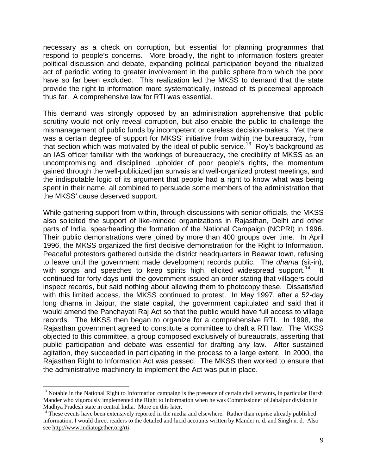necessary as a check on corruption, but essential for planning programmes that respond to people's concerns. More broadly, the right to information fosters greater political discussion and debate, expanding political participation beyond the ritualized act of periodic voting to greater involvement in the public sphere from which the poor have so far been excluded. This realization led the MKSS to demand that the state provide the right to information more systematically, instead of its piecemeal approach thus far. A comprehensive law for RTI was essential.

This demand was strongly opposed by an administration apprehensive that public scrutiny would not only reveal corruption, but also enable the public to challenge the mismanagement of public funds by incompetent or careless decision-makers. Yet there was a certain degree of support for MKSS' initiative from within the bureaucracy, from that section which was motivated by the ideal of public service.<sup>13</sup> Roy's background as an IAS officer familiar with the workings of bureaucracy, the credibility of MKSS as an uncompromising and disciplined upholder of poor people's rights, the momentum gained through the well-publicized jan sunvais and well-organized protest meetings, and the indisputable logic of its argument that people had a right to know what was being spent in their name, all combined to persuade some members of the administration that the MKSS' cause deserved support.

While gathering support from within, through discussions with senior officials, the MKSS also solicited the support of like-minded organizations in Rajasthan, Delhi and other parts of India, spearheading the formation of the National Campaign (NCPRI) in 1996. Their public demonstrations were joined by more than 400 groups over time. In April 1996, the MKSS organized the first decisive demonstration for the Right to Information. Peaceful protestors gathered outside the district headquarters in Beawar town, refusing to leave until the government made development records public. The *dharna* (sit-in), with songs and speeches to keep spirits high, elicited widespread support.<sup>14</sup> It continued for forty days until the government issued an order stating that villagers could inspect records, but said nothing about allowing them to photocopy these. Dissatisfied with this limited access, the MKSS continued to protest. In May 1997, after a 52-day long dharna in Jaipur, the state capital, the government capitulated and said that it would amend the Panchayati Raj Act so that the public would have full access to village records. The MKSS then began to organize for a comprehensive RTI. In 1998, the Rajasthan government agreed to constitute a committee to draft a RTI law. The MKSS objected to this committee, a group composed exclusively of bureaucrats, asserting that public participation and debate was essential for drafting any law. After sustained agitation, they succeeded in participating in the process to a large extent. In 2000, the Rajasthan Right to Information Act was passed. The MKSS then worked to ensure that the administrative machinery to implement the Act was put in place.

<sup>&</sup>lt;sup>13</sup> Notable in the National Right to Information campaign is the presence of certain civil servants, in particular Harsh Mander who vigorously implemented the Right to Information when he was Commissioner of Jabalpur division in Madhya Pradesh state in central India. More on this later.

 $14$  These events have been extensively reported in the media and elsewhere. Rather than reprise already published information, I would direct readers to the detailed and lucid accounts written by Mander n. d. and Singh n. d. Also see http://www.indiatogether.org/rti.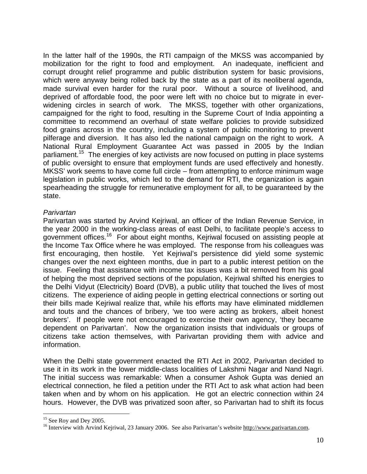In the latter half of the 1990s, the RTI campaign of the MKSS was accompanied by mobilization for the right to food and employment. An inadequate, inefficient and corrupt drought relief programme and public distribution system for basic provisions, which were anyway being rolled back by the state as a part of its neoliberal agenda, made survival even harder for the rural poor. Without a source of livelihood, and deprived of affordable food, the poor were left with no choice but to migrate in everwidening circles in search of work. The MKSS, together with other organizations, campaigned for the right to food, resulting in the Supreme Court of India appointing a committee to recommend an overhaul of state welfare policies to provide subsidized food grains across in the country, including a system of public monitoring to prevent pilferage and diversion. It has also led the national campaign on the right to work. A National Rural Employment Guarantee Act was passed in 2005 by the Indian parliament.<sup>15</sup> The energies of key activists are now focused on putting in place systems of public oversight to ensure that employment funds are used effectively and honestly. MKSS' work seems to have come full circle – from attempting to enforce minimum wage legislation in public works, which led to the demand for RTI, the organization is again spearheading the struggle for remunerative employment for all, to be guaranteed by the state.

# *Parivartan*

Parivartan was started by Arvind Kejriwal, an officer of the Indian Revenue Service, in the year 2000 in the working-class areas of east Delhi, to facilitate people's access to government offices.16 For about eight months, Kejriwal focused on assisting people at the Income Tax Office where he was employed. The response from his colleagues was first encouraging, then hostile. Yet Kejriwal's persistence did yield some systemic changes over the next eighteen months, due in part to a public interest petition on the issue. Feeling that assistance with income tax issues was a bit removed from his goal of helping the most deprived sections of the population, Kejriwal shifted his energies to the Delhi Vidyut (Electricity) Board (DVB), a public utility that touched the lives of most citizens. The experience of aiding people in getting electrical connections or sorting out their bills made Kejriwal realize that, while his efforts may have eliminated middlemen and touts and the chances of bribery, 'we too were acting as brokers, albeit honest brokers'. If people were not encouraged to exercise their own agency, 'they became dependent on Parivartan'. Now the organization insists that individuals or groups of citizens take action themselves, with Parivartan providing them with advice and information.

When the Delhi state government enacted the RTI Act in 2002, Parivartan decided to use it in its work in the lower middle-class localities of Lakshmi Nagar and Nand Nagri. The initial success was remarkable: When a consumer Ashok Gupta was denied an electrical connection, he filed a petition under the RTI Act to ask what action had been taken when and by whom on his application. He got an electric connection within 24 hours. However, the DVB was privatized soon after, so Parivartan had to shift its focus

 $15$  See Roy and Dey 2005.

<sup>&</sup>lt;sup>16</sup> Interview with Arvind Kejriwal, 23 January 2006. See also Parivartan's website http://www.parivartan.com.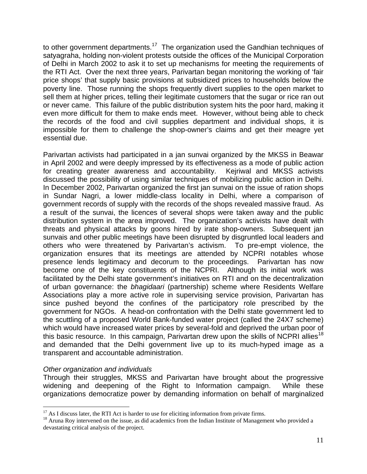to other government departments.<sup>17</sup> The organization used the Gandhian techniques of satyagraha, holding non-violent protests outside the offices of the Municipal Corporation of Delhi in March 2002 to ask it to set up mechanisms for meeting the requirements of the RTI Act. Over the next three years, Parivartan began monitoring the working of 'fair price shops' that supply basic provisions at subsidized prices to households below the poverty line. Those running the shops frequently divert supplies to the open market to sell them at higher prices, telling their legitimate customers that the sugar or rice ran out or never came. This failure of the public distribution system hits the poor hard, making it even more difficult for them to make ends meet. However, without being able to check the records of the food and civil supplies department and individual shops, it is impossible for them to challenge the shop-owner's claims and get their meagre yet essential due.

Parivartan activists had participated in a jan sunvai organized by the MKSS in Beawar in April 2002 and were deeply impressed by its effectiveness as a mode of public action for creating greater awareness and accountability. Kejriwal and MKSS activists discussed the possibility of using similar techniques of mobilizing public action in Delhi. In December 2002, Parivartan organized the first jan sunvai on the issue of ration shops in Sundar Nagri, a lower middle-class locality in Delhi, where a comparison of government records of supply with the records of the shops revealed massive fraud. As a result of the sunvai, the licences of several shops were taken away and the public distribution system in the area improved. The organization's activists have dealt with threats and physical attacks by goons hired by irate shop-owners. Subsequent jan sunvais and other public meetings have been disrupted by disgruntled local leaders and others who were threatened by Parivartan's activism. To pre-empt violence, the organization ensures that its meetings are attended by NCPRI notables whose presence lends legitimacy and decorum to the proceedings. Parivartan has now become one of the key constituents of the NCPRI. Although its initial work was facilitated by the Delhi state government's initiatives on RTI and on the decentralization of urban governance: the *bhagidaari* (partnership) scheme where Residents Welfare Associations play a more active role in supervising service provision, Parivartan has since pushed beyond the confines of the participatory role prescribed by the government for NGOs. A head-on confrontation with the Delhi state government led to the scuttling of a proposed World Bank-funded water project (called the 24X7 scheme) which would have increased water prices by several-fold and deprived the urban poor of this basic resource. In this campaign, Parivartan drew upon the skills of NCPRI allies<sup>18</sup> and demanded that the Delhi government live up to its much-hyped image as a transparent and accountable administration.

## *Other organization and individuals*

1

Through their struggles, MKSS and Parivartan have brought about the progressive widening and deepening of the Right to Information campaign. While these organizations democratize power by demanding information on behalf of marginalized

<sup>&</sup>lt;sup>17</sup> As I discuss later, the RTI Act is harder to use for eliciting information from private firms.<br><sup>18</sup> Aruna Roy intervened on the issue, as did academics from the Indian Institute of Management who provided a devastating critical analysis of the project.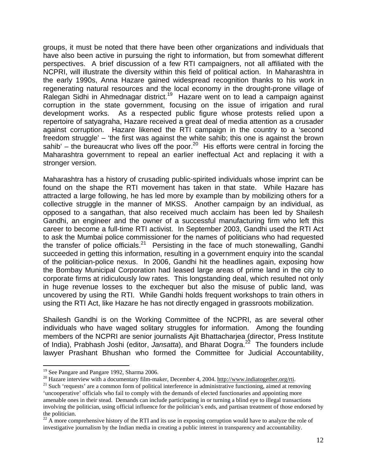groups, it must be noted that there have been other organizations and individuals that have also been active in pursuing the right to information, but from somewhat different perspectives. A brief discussion of a few RTI campaigners, not all affiliated with the NCPRI, will illustrate the diversity within this field of political action. In Maharashtra in the early 1990s, Anna Hazare gained widespread recognition thanks to his work in regenerating natural resources and the local economy in the drought-prone village of Ralegan Sidhi in Ahmednagar district.<sup>19</sup> Hazare went on to lead a campaign against corruption in the state government, focusing on the issue of irrigation and rural development works. As a respected public figure whose protests relied upon a repertoire of satyagraha, Hazare received a great deal of media attention as a crusader against corruption. Hazare likened the RTI campaign in the country to a 'second freedom struggle' – 'the first was against the white sahib; this one is against the brown sahib' – the bureaucrat who lives off the poor.<sup>20</sup> His efforts were central in forcing the Maharashtra government to repeal an earlier ineffectual Act and replacing it with a stronger version.

Maharashtra has a history of crusading public-spirited individuals whose imprint can be found on the shape the RTI movement has taken in that state. While Hazare has attracted a large following, he has led more by example than by mobilizing others for a collective struggle in the manner of MKSS. Another campaign by an individual, as opposed to a sangathan, that also received much acclaim has been led by Shailesh Gandhi, an engineer and the owner of a successful manufacturing firm who left this career to become a full-time RTI activist. In September 2003, Gandhi used the RTI Act to ask the Mumbai police commissioner for the names of politicians who had requested the transfer of police officials.<sup>21</sup> Persisting in the face of much stonewalling, Gandhi succeeded in getting this information, resulting in a government enquiry into the scandal of the politician-police nexus. In 2006, Gandhi hit the headlines again, exposing how the Bombay Municipal Corporation had leased large areas of prime land in the city to corporate firms at ridiculously low rates. This longstanding deal, which resulted not only in huge revenue losses to the exchequer but also the misuse of public land, was uncovered by using the RTI. While Gandhi holds frequent workshops to train others in using the RTI Act, like Hazare he has not directly engaged in grassroots mobilization.

Shailesh Gandhi is on the Working Committee of the NCPRI, as are several other individuals who have waged solitary struggles for information. Among the founding members of the NCPRI are senior journalists Ajit Bhattacharjea (director, Press Institute of India), Prabhash Joshi (editor, *Jansatta*), and Bharat Dogra.<sup>22</sup> The founders include lawyer Prashant Bhushan who formed the Committee for Judicial Accountability,

<sup>&</sup>lt;sup>19</sup> See Pangare and Pangare 1992, Sharma 2006.<br><sup>20</sup> Hazare interview with a documentary film-maker, December 4, 2004. http://www.indiatogether.org/rti.

<sup>&</sup>lt;sup>21</sup> Such 'requests' are a common form of political interference in administrative functioning, aimed at removing 'uncooperative' officials who fail to comply with the demands of elected functionaries and appointing more amenable ones in their stead. Demands can include participating in or turning a blind eye to illegal transactions involving the politician, using official influence for the politician's ends, and partisan treatment of those endorsed by the politician.

 $22$  A more comprehensive history of the RTI and its use in exposing corruption would have to analyze the role of investigative journalism by the Indian media in creating a public interest in transparency and accountability.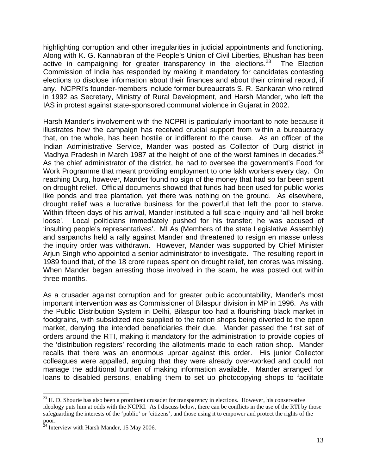highlighting corruption and other irregularities in judicial appointments and functioning. Along with K. G. Kannabiran of the People's Union of Civil Liberties, Bhushan has been active in campaigning for greater transparency in the elections.<sup>23</sup> The Election Commission of India has responded by making it mandatory for candidates contesting elections to disclose information about their finances and about their criminal record, if any. NCPRI's founder-members include former bureaucrats S. R. Sankaran who retired in 1992 as Secretary, Ministry of Rural Development, and Harsh Mander, who left the IAS in protest against state-sponsored communal violence in Gujarat in 2002.

Harsh Mander's involvement with the NCPRI is particularly important to note because it illustrates how the campaign has received crucial support from within a bureaucracy that, on the whole, has been hostile or indifferent to the cause. As an officer of the Indian Administrative Service, Mander was posted as Collector of Durg district in Madhya Pradesh in March 1987 at the height of one of the worst famines in decades. $^{24}$ As the chief administrator of the district, he had to oversee the government's Food for Work Programme that meant providing employment to one lakh workers every day. On reaching Durg, however, Mander found no sign of the money that had so far been spent on drought relief. Official documents showed that funds had been used for public works like ponds and tree plantation, yet there was nothing on the ground. As elsewhere, drought relief was a lucrative business for the powerful that left the poor to starve. Within fifteen days of his arrival, Mander instituted a full-scale inquiry and 'all hell broke loose'. Local politicians immediately pushed for his transfer; he was accused of 'insulting people's representatives'. MLAs (Members of the state Legislative Assembly) and sarpanchs held a rally against Mander and threatened to resign en masse unless the inquiry order was withdrawn. However, Mander was supported by Chief Minister Ariun Singh who appointed a senior administrator to investigate. The resulting report in 1989 found that, of the 18 crore rupees spent on drought relief, ten crores was missing. When Mander began arresting those involved in the scam, he was posted out within three months.

As a crusader against corruption and for greater public accountability, Mander's most important intervention was as Commissioner of Bilaspur division in MP in 1996. As with the Public Distribution System in Delhi, Bilaspur too had a flourishing black market in foodgrains, with subsidized rice supplied to the ration shops being diverted to the open market, denying the intended beneficiaries their due. Mander passed the first set of orders around the RTI, making it mandatory for the administration to provide copies of the 'distribution registers' recording the allotments made to each ration shop. Mander recalls that there was an enormous uproar against this order. His junior Collector colleagues were appalled, arguing that they were already over-worked and could not manage the additional burden of making information available. Mander arranged for loans to disabled persons, enabling them to set up photocopying shops to facilitate

1

<sup>&</sup>lt;sup>23</sup> H. D. Shourie has also been a prominent crusader for transparency in elections. However, his conservative ideology puts him at odds with the NCPRI. As I discuss below, there can be conflicts in the use of the RTI by those safeguarding the interests of the 'public' or 'citizens', and those using it to empower and protect the rights of the poor.

 $^{24}$  Interview with Harsh Mander, 15 May 2006.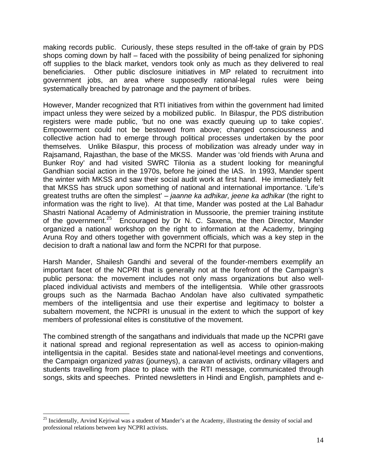making records public. Curiously, these steps resulted in the off-take of grain by PDS shops coming down by half – faced with the possibility of being penalized for siphoning off supplies to the black market, vendors took only as much as they delivered to real beneficiaries. Other public disclosure initiatives in MP related to recruitment into government jobs, an area where supposedly rational-legal rules were being systematically breached by patronage and the payment of bribes.

However, Mander recognized that RTI initiatives from within the government had limited impact unless they were seized by a mobilized public. In Bilaspur, the PDS distribution registers were made public, 'but no one was exactly queuing up to take copies'. Empowerment could not be bestowed from above; changed consciousness and collective action had to emerge through political processes undertaken by the poor themselves. Unlike Bilaspur, this process of mobilization was already under way in Rajsamand, Rajasthan, the base of the MKSS. Mander was 'old friends with Aruna and Bunker Roy' and had visited SWRC Tilonia as a student looking for meaningful Gandhian social action in the 1970s, before he joined the IAS. In 1993, Mander spent the winter with MKSS and saw their social audit work at first hand. He immediately felt that MKSS has struck upon something of national and international importance. 'Life's greatest truths are often the simplest' – *jaanne ka adhikar, jeene ka adhikar* (the right to information was the right to live). At that time, Mander was posted at the Lal Bahadur Shastri National Academy of Administration in Mussoorie, the premier training institute of the government.<sup>25</sup> Encouraged by Dr N. C. Saxena, the then Director, Mander organized a national workshop on the right to information at the Academy, bringing Aruna Roy and others together with government officials, which was a key step in the decision to draft a national law and form the NCPRI for that purpose.

Harsh Mander, Shailesh Gandhi and several of the founder-members exemplify an important facet of the NCPRI that is generally not at the forefront of the Campaign's public persona: the movement includes not only mass organizations but also wellplaced individual activists and members of the intelligentsia. While other grassroots groups such as the Narmada Bachao Andolan have also cultivated sympathetic members of the intelligentsia and use their expertise and legitimacy to bolster a subaltern movement, the NCPRI is unusual in the extent to which the support of key members of professional elites is constitutive of the movement.

The combined strength of the sangathans and individuals that made up the NCPRI gave it national spread and regional representation as well as access to opinion-making intelligentsia in the capital. Besides state and national-level meetings and conventions, the Campaign organized *yatras* (journeys), a caravan of activists, ordinary villagers and students travelling from place to place with the RTI message, communicated through songs, skits and speeches. Printed newsletters in Hindi and English, pamphlets and e-

1

<sup>&</sup>lt;sup>25</sup> Incidentally, Arvind Kejriwal was a student of Mander's at the Academy, illustrating the density of social and professional relations between key NCPRI activists.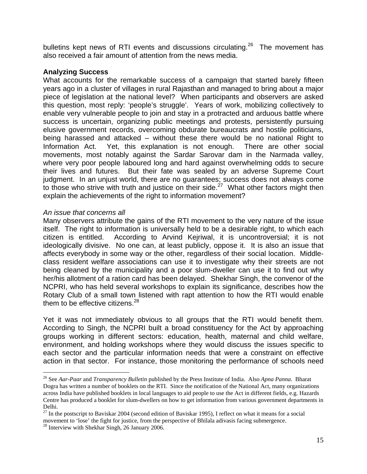bulletins kept news of RTI events and discussions circulating.<sup>26</sup> The movement has also received a fair amount of attention from the news media.

### **Analyzing Success**

What accounts for the remarkable success of a campaign that started barely fifteen years ago in a cluster of villages in rural Rajasthan and managed to bring about a major piece of legislation at the national level? When participants and observers are asked this question, most reply: 'people's struggle'. Years of work, mobilizing collectively to enable very vulnerable people to join and stay in a protracted and arduous battle where success is uncertain, organizing public meetings and protests, persistently pursuing elusive government records, overcoming obdurate bureaucrats and hostile politicians, being harassed and attacked – without these there would be no national Right to Information Act. Yet, this explanation is not enough. There are other social movements, most notably against the Sardar Sarovar dam in the Narmada valley, where very poor people laboured long and hard against overwhelming odds to secure their lives and futures. But their fate was sealed by an adverse Supreme Court judgment. In an unjust world, there are no guarantees; success does not always come to those who strive with truth and justice on their side.<sup>27</sup> What other factors might then explain the achievements of the right to information movement?

### *An issue that concerns all*

Many observers attribute the gains of the RTI movement to the very nature of the issue itself. The right to information is universally held to be a desirable right, to which each citizen is entitled. According to Arvind Kejriwal, it is uncontroversial; it is not ideologically divisive. No one can, at least publicly, oppose it. It is also an issue that affects everybody in some way or the other, regardless of their social location. Middleclass resident welfare associations can use it to investigate why their streets are not being cleaned by the municipality and a poor slum-dweller can use it to find out why her/his allotment of a ration card has been delayed. Shekhar Singh, the convenor of the NCPRI, who has held several workshops to explain its significance, describes how the Rotary Club of a small town listened with rapt attention to how the RTI would enable them to be effective citizens. $^{28}$ 

Yet it was not immediately obvious to all groups that the RTI would benefit them. According to Singh, the NCPRI built a broad constituency for the Act by approaching groups working in different sectors: education, health, maternal and child welfare, environment, and holding workshops where they would discuss the issues specific to each sector and the particular information needs that were a constraint on effective action in that sector. For instance, those monitoring the performance of schools need

<sup>26</sup> See *Aar-Paar* and *Transparency Bulletin* published by the Press Institute of India. Also *Apna Panna*. Bharat Dogra has written a number of booklets on the RTI. Since the notification of the National Act, many organizations across India have published booklets in local languages to aid people to use the Act in different fields, e.g. Hazards Centre has produced a booklet for slum-dwellers on how to get information from various government departments in Delhi.

 $^{27}$  In the postscript to Baviskar 2004 (second edition of Baviskar 1995), I reflect on what it means for a social movement to 'lose' the fight for justice, from the perspective of Bhilala adivasis facing submergence. 28 Interview with Shekhar Singh, 26 January 2006.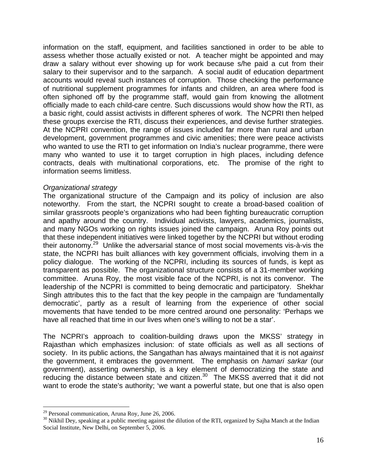information on the staff, equipment, and facilities sanctioned in order to be able to assess whether those actually existed or not. A teacher might be appointed and may draw a salary without ever showing up for work because s/he paid a cut from their salary to their supervisor and to the sarpanch. A social audit of education department accounts would reveal such instances of corruption. Those checking the performance of nutritional supplement programmes for infants and children, an area where food is often siphoned off by the programme staff, would gain from knowing the allotment officially made to each child-care centre. Such discussions would show how the RTI, as a basic right, could assist activists in different spheres of work. The NCPRI then helped these groups exercise the RTI, discuss their experiences, and devise further strategies. At the NCPRI convention, the range of issues included far more than rural and urban development, government programmes and civic amenities; there were peace activists who wanted to use the RTI to get information on India's nuclear programme, there were many who wanted to use it to target corruption in high places, including defence contracts, deals with multinational corporations, etc. The promise of the right to information seems limitless.

### *Organizational strategy*

The organizational structure of the Campaign and its policy of inclusion are also noteworthy. From the start, the NCPRI sought to create a broad-based coalition of similar grassroots people's organizations who had been fighting bureaucratic corruption and apathy around the country. Individual activists, lawyers, academics, journalists, and many NGOs working on rights issues joined the campaign. Aruna Roy points out that these independent initiatives were linked together by the NCPRI but without eroding their autonomy.29 Unlike the adversarial stance of most social movements vis-à-vis the state, the NCPRI has built alliances with key government officials, involving them in a policy dialogue. The working of the NCPRI, including its sources of funds, is kept as transparent as possible. The organizational structure consists of a 31-member working committee. Aruna Roy, the most visible face of the NCPRI, is not its convenor. The leadership of the NCPRI is committed to being democratic and participatory. Shekhar Singh attributes this to the fact that the key people in the campaign are 'fundamentally democratic', partly as a result of learning from the experience of other social movements that have tended to be more centred around one personality: 'Perhaps we have all reached that time in our lives when one's willing to not be a star'.

The NCPRI's approach to coalition-building draws upon the MKSS' strategy in Rajasthan which emphasizes inclusion: of state officials as well as all sections of society. In its public actions, the Sangathan has always maintained that it is not *against* the government, it embraces the government. The emphasis on *hamari sarkar* (our government), asserting ownership, is a key element of democratizing the state and reducing the distance between state and citizen.<sup>30</sup> The MKSS averred that it did not want to erode the state's authority; 'we want a powerful state, but one that is also open

 $29$  Personal communication, Aruna Roy, June 26, 2006.

 $30$  Nikhil Dey, speaking at a public meeting against the dilution of the RTI, organized by Sajha Manch at the Indian Social Institute, New Delhi, on September 5, 2006.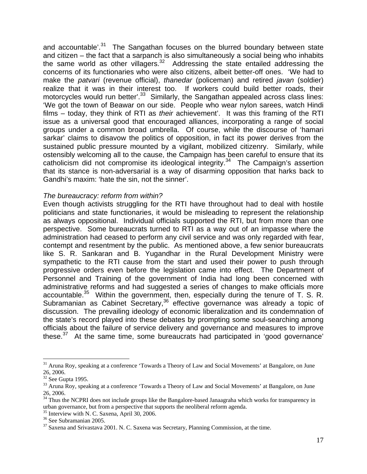and accountable<sup>'.31</sup> The Sangathan focuses on the blurred boundary between state and citizen – the fact that a sarpanch is also simultaneously a social being who inhabits the same world as other villagers. $32$  Addressing the state entailed addressing the concerns of its functionaries who were also citizens, albeit better-off ones. 'We had to make the *patvari* (revenue official), *thanedar* (policeman) and retired *javan* (soldier) realize that it was in their interest too. If workers could build better roads, their motorcycles would run better'.<sup>33</sup> Similarly, the Sangathan appealed across class lines: 'We got the town of Beawar on our side. People who wear nylon sarees, watch Hindi films – today, they think of RTI as *their* achievement'. It was this framing of the RTI issue as a universal good that encouraged alliances, incorporating a range of social groups under a common broad umbrella. Of course, while the discourse of 'hamari sarkar' claims to disavow the politics of opposition, in fact its power derives from the sustained public pressure mounted by a vigilant, mobilized citizenry. Similarly, while ostensibly welcoming all to the cause, the Campaign has been careful to ensure that its catholicism did not compromise its ideological integrity.34 The Campaign's assertion that its stance is non-adversarial is a way of disarming opposition that harks back to Gandhi's maxim: 'hate the sin, not the sinner'.

### *The bureaucracy: reform from within?*

Even though activists struggling for the RTI have throughout had to deal with hostile politicians and state functionaries, it would be misleading to represent the relationship as always oppositional. Individual officials supported the RTI, but from more than one perspective. Some bureaucrats turned to RTI as a way out of an impasse where the administration had ceased to perform any civil service and was only regarded with fear, contempt and resentment by the public. As mentioned above, a few senior bureaucrats like S. R. Sankaran and B. Yugandhar in the Rural Development Ministry were sympathetic to the RTI cause from the start and used their power to push through progressive orders even before the legislation came into effect. The Department of Personnel and Training of the government of India had long been concerned with administrative reforms and had suggested a series of changes to make officials more accountable.<sup>35</sup> Within the government, then, especially during the tenure of T. S. R. Subramanian as Cabinet Secretary,<sup>36</sup> effective governance was already a topic of discussion. The prevailing ideology of economic liberalization and its condemnation of the state's record played into these debates by prompting some soul-searching among officials about the failure of service delivery and governance and measures to improve these. $37$  At the same time, some bureaucrats had participated in 'good governance'

<sup>&</sup>lt;sup>31</sup> Aruna Roy, speaking at a conference 'Towards a Theory of Law and Social Movements' at Bangalore, on June 26, 2006.

 $32$  See Gupta 1995.

<sup>&</sup>lt;sup>33</sup> Aruna Roy, speaking at a conference 'Towards a Theory of Law and Social Movements' at Bangalore, on June 26, 2006.

<sup>&</sup>lt;sup>34</sup> Thus the NCPRI does not include groups like the Bangalore-based Janaagraha which works for transparency in urban governance, but from a perspective that supports the neoliberal reform agenda.

<sup>&</sup>lt;sup>35</sup> Interview with N. C. Saxena, April 30, 2006.

<sup>&</sup>lt;sup>36</sup> See Subramanian 2005.

<sup>&</sup>lt;sup>37</sup> Saxena and Srivastava 2001. N. C. Saxena was Secretary, Planning Commission, at the time.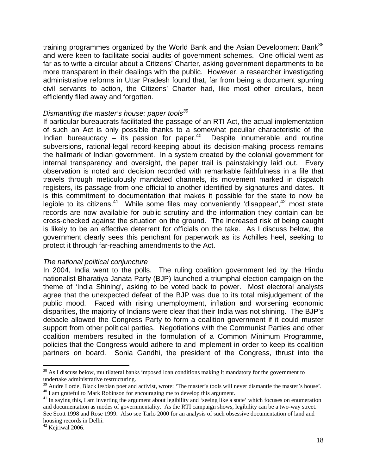training programmes organized by the World Bank and the Asian Development Bank<sup>38</sup> and were keen to facilitate social audits of government schemes. One official went as far as to write a circular about a Citizens' Charter, asking government departments to be more transparent in their dealings with the public. However, a researcher investigating administrative reforms in Uttar Pradesh found that, far from being a document spurring civil servants to action, the Citizens' Charter had, like most other circulars, been efficiently filed away and forgotten.

## *Dismantling the master's house: paper tools39*

If particular bureaucrats facilitated the passage of an RTI Act, the actual implementation of such an Act is only possible thanks to a somewhat peculiar characteristic of the Indian bureaucracy  $-$  its passion for paper.<sup>40</sup> Despite innumerable and routine subversions, rational-legal record-keeping about its decision-making process remains the hallmark of Indian government. In a system created by the colonial government for internal transparency and oversight, the paper trail is painstakingly laid out. Every observation is noted and decision recorded with remarkable faithfulness in a file that travels through meticulously mandated channels, its movement marked in dispatch registers, its passage from one official to another identified by signatures and dates. It is this commitment to documentation that makes it possible for the state to now be legible to its citizens.<sup>41</sup> While some files may conveniently 'disappear',  $42$  most state records are now available for public scrutiny and the information they contain can be cross-checked against the situation on the ground. The increased risk of being caught is likely to be an effective deterrent for officials on the take. As I discuss below, the government clearly sees this penchant for paperwork as its Achilles heel, seeking to protect it through far-reaching amendments to the Act.

## *The national political conjuncture*

In 2004, India went to the polls. The ruling coalition government led by the Hindu nationalist Bharatiya Janata Party (BJP) launched a triumphal election campaign on the theme of 'India Shining', asking to be voted back to power. Most electoral analysts agree that the unexpected defeat of the BJP was due to its total misjudgement of the public mood. Faced with rising unemployment, inflation and worsening economic disparities, the majority of Indians were clear that their India was not shining. The BJP's debacle allowed the Congress Party to form a coalition government if it could muster support from other political parties. Negotiations with the Communist Parties and other coalition members resulted in the formulation of a Common Minimum Programme, policies that the Congress would adhere to and implement in order to keep its coalition partners on board. Sonia Gandhi, the president of the Congress, thrust into the

1

<sup>&</sup>lt;sup>38</sup> As I discuss below, multilateral banks imposed loan conditions making it mandatory for the government to undertake administrative restructuring.

<sup>&</sup>lt;sup>39</sup> Audre Lorde, Black lesbian poet and activist, wrote: 'The master's tools will never dismantle the master's house'.  $^{40}$  I am grateful to Mark Robinson for encouraging me to develop this argument.

<sup>&</sup>lt;sup>41</sup> In saying this, I am inverting the argument about legibility and 'seeing like a state' which focuses on enumeration and documentation as modes of governmentality. As the RTI campaign shows, legibility can be a two-way street. See Scott 1998 and Rose 1999. Also see Tarlo 2000 for an analysis of such obsessive documentation of land and housing records in Delhi.

 $42$  Kejriwal 2006.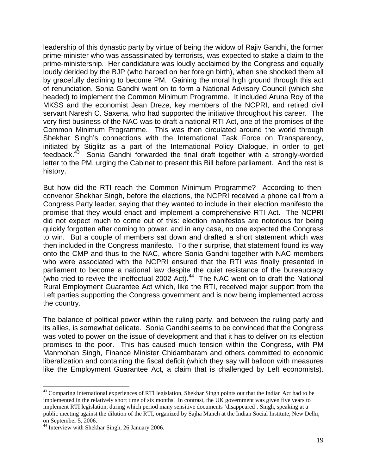leadership of this dynastic party by virtue of being the widow of Rajiv Gandhi, the former prime-minister who was assassinated by terrorists, was expected to stake a claim to the prime-ministership. Her candidature was loudly acclaimed by the Congress and equally loudly derided by the BJP (who harped on her foreign birth), when she shocked them all by gracefully declining to become PM. Gaining the moral high ground through this act of renunciation, Sonia Gandhi went on to form a National Advisory Council (which she headed) to implement the Common Minimum Programme. It included Aruna Roy of the MKSS and the economist Jean Dreze, key members of the NCPRI, and retired civil servant Naresh C. Saxena, who had supported the initiative throughout his career. The very first business of the NAC was to draft a national RTI Act, one of the promises of the Common Minimum Programme. This was then circulated around the world through Shekhar Singh's connections with the International Task Force on Transparency, initiated by Stiglitz as a part of the International Policy Dialogue, in order to get feedback.43 Sonia Gandhi forwarded the final draft together with a strongly-worded letter to the PM, urging the Cabinet to present this Bill before parliament. And the rest is history.

But how did the RTI reach the Common Minimum Programme? According to thenconvenor Shekhar Singh, before the elections, the NCPRI received a phone call from a Congress Party leader, saying that they wanted to include in their election manifesto the promise that they would enact and implement a comprehensive RTI Act. The NCPRI did not expect much to come out of this: election manifestos are notorious for being quickly forgotten after coming to power, and in any case, no one expected the Congress to win. But a couple of members sat down and drafted a short statement which was then included in the Congress manifesto. To their surprise, that statement found its way onto the CMP and thus to the NAC, where Sonia Gandhi together with NAC members who were associated with the NCPRI ensured that the RTI was finally presented in parliament to become a national law despite the quiet resistance of the bureaucracy (who tried to revive the ineffectual 2002 Act). $44$  The NAC went on to draft the National Rural Employment Guarantee Act which, like the RTI, received major support from the Left parties supporting the Congress government and is now being implemented across the country.

The balance of political power within the ruling party, and between the ruling party and its allies, is somewhat delicate. Sonia Gandhi seems to be convinced that the Congress was voted to power on the issue of development and that it has to deliver on its election promises to the poor. This has caused much tension within the Congress, with PM Manmohan Singh, Finance Minister Chidambaram and others committed to economic liberalization and containing the fiscal deficit (which they say will balloon with measures like the Employment Guarantee Act, a claim that is challenged by Left economists).

<sup>&</sup>lt;sup>43</sup> Comparing international experiences of RTI legislation, Shekhar Singh points out that the Indian Act had to be implemented in the relatively short time of six months. In contrast, the UK government was given five years to implement RTI legislation, during which period many sensitive documents 'disappeared'. Singh, speaking at a public meeting against the dilution of the RTI, organized by Sajha Manch at the Indian Social Institute, New Delhi, on September 5, 2006.

<sup>&</sup>lt;sup>44</sup> Interview with Shekhar Singh, 26 January 2006.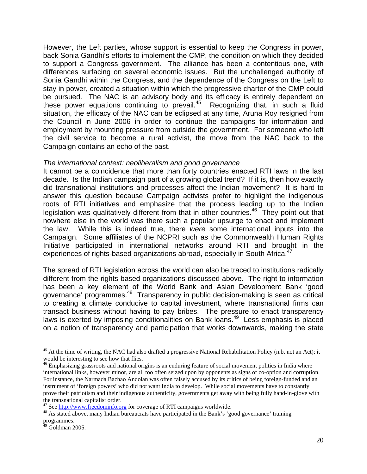However, the Left parties, whose support is essential to keep the Congress in power, back Sonia Gandhi's efforts to implement the CMP, the condition on which they decided to support a Congress government. The alliance has been a contentious one, with differences surfacing on several economic issues. But the unchallenged authority of Sonia Gandhi within the Congress, and the dependence of the Congress on the Left to stay in power, created a situation within which the progressive charter of the CMP could be pursued. The NAC is an advisory body and its efficacy is entirely dependent on these power equations continuing to prevail.<sup>45</sup> Recognizing that, in such a fluid situation, the efficacy of the NAC can be eclipsed at any time, Aruna Roy resigned from the Council in June 2006 in order to continue the campaigns for information and employment by mounting pressure from outside the government. For someone who left the civil service to become a rural activist, the move from the NAC back to the Campaign contains an echo of the past.

### *The international context: neoliberalism and good governance*

It cannot be a coincidence that more than forty countries enacted RTI laws in the last decade. Is the Indian campaign part of a growing global trend? If it is, then how exactly did transnational institutions and processes affect the Indian movement? It is hard to answer this question because Campaign activists prefer to highlight the indigenous roots of RTI initiatives and emphasize that the process leading up to the Indian legislation was qualitatively different from that in other countries.<sup>46</sup> They point out that nowhere else in the world was there such a popular upsurge to enact and implement the law. While this is indeed true, there *were* some international inputs into the Campaign. Some affiliates of the NCPRI such as the Commonwealth Human Rights Initiative participated in international networks around RTI and brought in the experiences of rights-based organizations abroad, especially in South Africa.<sup>47</sup>

The spread of RTI legislation across the world can also be traced to institutions radically different from the rights-based organizations discussed above. The right to information has been a key element of the World Bank and Asian Development Bank 'good governance' programmes.48 Transparency in public decision-making is seen as critical to creating a climate conducive to capital investment, where transnational firms can transact business without having to pay bribes. The pressure to enact transparency laws is exerted by imposing conditionalities on Bank loans.<sup>49</sup> Less emphasis is placed on a notion of transparency and participation that works downwards, making the state

1

<sup>&</sup>lt;sup>45</sup> At the time of writing, the NAC had also drafted a progressive National Rehabilitation Policy (n.b. not an Act); it would be interesting to see how that flies.

<sup>&</sup>lt;sup>46</sup> Emphasizing grassroots and national origins is an enduring feature of social movement politics in India where international links, however minor, are all too often seized upon by opponents as signs of co-option and corruption. For instance, the Narmada Bachao Andolan was often falsely accused by its critics of being foreign-funded and an instrument of 'foreign powers' who did not want India to develop. While social movements have to constantly prove their patriotism and their indigenous authenticity, governments get away with being fully hand-in-glove with the transnational capitalist order.<br><sup>47</sup> See http://www.freedominfo.org for coverage of RTI campaigns worldwide.

<sup>&</sup>lt;sup>48</sup> As stated above, many Indian bureaucrats have participated in the Bank's 'good governance' training programmes.

 $49$  Goldman 2005.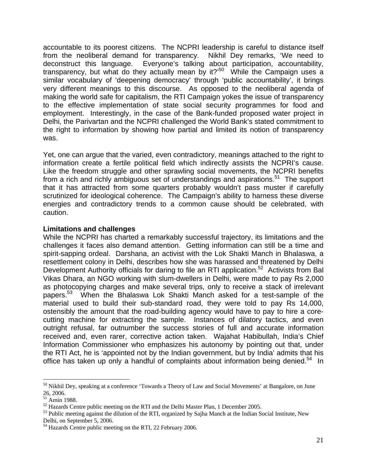accountable to its poorest citizens. The NCPRI leadership is careful to distance itself from the neoliberal demand for transparency. Nikhil Dey remarks, 'We need to deconstruct this language. Everyone's talking about participation, accountability, transparency, but what do they actually mean by it? $50^\circ$  While the Campaign uses a similar vocabulary of 'deepening democracy' through 'public accountability', it brings very different meanings to this discourse. As opposed to the neoliberal agenda of making the world safe for capitalism, the RTI Campaign yokes the issue of transparency to the effective implementation of state social security programmes for food and employment. Interestingly, in the case of the Bank-funded proposed water project in Delhi, the Parivartan and the NCPRI challenged the World Bank's stated commitment to the right to information by showing how partial and limited its notion of transparency was.

Yet, one can argue that the varied, even contradictory, meanings attached to the right to information create a fertile political field which indirectly assists the NCPRI's cause. Like the freedom struggle and other sprawling social movements, the NCPRI benefits from a rich and richly ambiguous set of understandings and aspirations.<sup>51</sup> The support that it has attracted from some quarters probably wouldn't pass muster if carefully scrutinized for ideological coherence. The Campaign's ability to harness these diverse energies and contradictory trends to a common cause should be celebrated, with caution.

### **Limitations and challenges**

While the NCPRI has charted a remarkably successful trajectory, its limitations and the challenges it faces also demand attention. Getting information can still be a time and spirit-sapping ordeal. Darshana, an activist with the Lok Shakti Manch in Bhalaswa, a resettlement colony in Delhi, describes how she was harassed and threatened by Delhi Development Authority officials for daring to file an RTI application.<sup>52</sup> Activists from Bal Vikas Dhara, an NGO working with slum-dwellers in Delhi, were made to pay Rs 2,000 as photocopying charges and make several trips, only to receive a stack of irrelevant papers.<sup>53</sup> When the Bhalaswa Lok Shakti Manch asked for a test-sample of the material used to build their sub-standard road, they were told to pay Rs 14,000, ostensibly the amount that the road-building agency would have to pay to hire a corecutting machine for extracting the sample. Instances of dilatory tactics, and even outright refusal, far outnumber the success stories of full and accurate information received and, even rarer, corrective action taken. Wajahat Habibullah, India's Chief Information Commissioner who emphasizes his autonomy by pointing out that, under the RTI Act, he is 'appointed not by the Indian government, but by India' admits that his office has taken up only a handful of complaints about information being denied.<sup>54</sup> In

<u>.</u>

<sup>&</sup>lt;sup>50</sup> Nikhil Dey, speaking at a conference 'Towards a Theory of Law and Social Movements' at Bangalore, on June 26, 2006.

 $\frac{51}{2}$  Amin 1988.<br><sup>52</sup> Hazards Centre public meeting on the RTI and the Delhi Master Plan, 1 December 2005.

 $<sup>53</sup>$  Public meeting against the dilution of the RTI, organized by Sajha Manch at the Indian Social Institute, New</sup> Delhi, on September 5, 2006.

<sup>&</sup>lt;sup>54</sup> Hazards Centre public meeting on the RTI, 22 February 2006.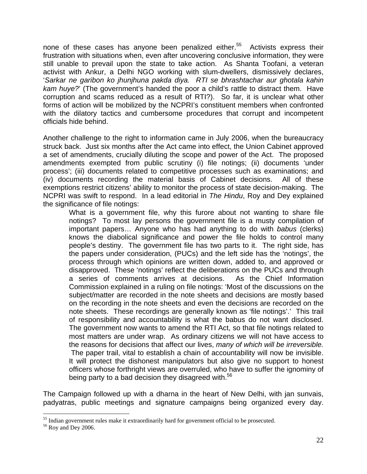none of these cases has anyone been penalized either.<sup>55</sup> Activists express their frustration with situations when, even after uncovering conclusive information, they were still unable to prevail upon the state to take action. As Shanta Toofani, a veteran activist with Ankur, a Delhi NGO working with slum-dwellers, dismissively declares, '*Sarkar ne garibon ko jhunjhuna pakda diya. RTI se bhrashtachar aur ghotala kahin kam huye?*' (The government's handed the poor a child's rattle to distract them. Have corruption and scams reduced as a result of RTI?). So far, it is unclear what other forms of action will be mobilized by the NCPRI's constituent members when confronted with the dilatory tactics and cumbersome procedures that corrupt and incompetent officials hide behind.

Another challenge to the right to information came in July 2006, when the bureaucracy struck back. Just six months after the Act came into effect, the Union Cabinet approved a set of amendments, crucially diluting the scope and power of the Act. The proposed amendments exempted from public scrutiny (i) file notings; (ii) documents 'under process'; (iii) documents related to competitive processes such as examinations; and (iv) documents recording the material basis of Cabinet decisions. All of these exemptions restrict citizens' ability to monitor the process of state decision-making. The NCPRI was swift to respond. In a lead editorial in *The Hindu*, Roy and Dey explained the significance of file notings:

What is a government file, why this furore about not wanting to share file notings? To most lay persons the government file is a musty compilation of important papers… Anyone who has had anything to do with *babus* (clerks) knows the diabolical significance and power the file holds to control many people's destiny. The government file has two parts to it. The right side, has the papers under consideration, (PUCs) and the left side has the 'notings', the process through which opinions are written down, added to, and approved or disapproved. These 'notings' reflect the deliberations on the PUCs and through a series of comments arrives at decisions. As the Chief Information Commission explained in a ruling on file notings: 'Most of the discussions on the subject/matter are recorded in the note sheets and decisions are mostly based on the recording in the note sheets and even the decisions are recorded on the note sheets. These recordings are generally known as 'file notings'.' This trail of responsibility and accountability is what the babus do not want disclosed. The government now wants to amend the RTI Act, so that file notings related to most matters are under wrap. As ordinary citizens we will not have access to the reasons for decisions that affect our lives, *many of which will be irreversible.* The paper trail, vital to establish a chain of accountability will now be invisible. It will protect the dishonest manipulators but also give no support to honest officers whose forthright views are overruled, who have to suffer the ignominy of being party to a bad decision they disagreed with.<sup>56</sup>

The Campaign followed up with a dharna in the heart of New Delhi, with jan sunvais, padyatras, public meetings and signature campaigns being organized every day.

<sup>&</sup>lt;sup>55</sup> Indian government rules make it extraordinarily hard for government official to be prosecuted.

<sup>56</sup> Roy and Dey 2006.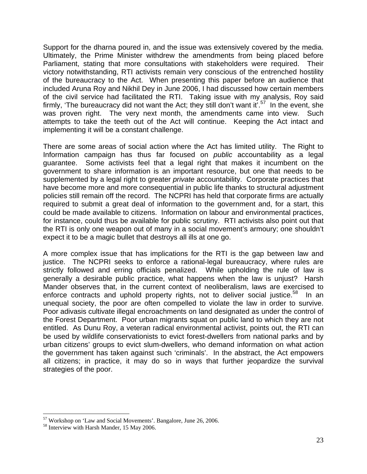Support for the dharna poured in, and the issue was extensively covered by the media. Ultimately, the Prime Minister withdrew the amendments from being placed before Parliament, stating that more consultations with stakeholders were required. Their victory notwithstanding, RTI activists remain very conscious of the entrenched hostility of the bureaucracy to the Act. When presenting this paper before an audience that included Aruna Roy and Nikhil Dey in June 2006, I had discussed how certain members of the civil service had facilitated the RTI. Taking issue with my analysis, Roy said firmly, 'The bureaucracy did not want the Act; they still don't want it'.<sup>57</sup> In the event, she was proven right. The very next month, the amendments came into view. Such attempts to take the teeth out of the Act will continue. Keeping the Act intact and implementing it will be a constant challenge.

There are some areas of social action where the Act has limited utility. The Right to Information campaign has thus far focused on *public* accountability as a legal guarantee. Some activists feel that a legal right that makes it incumbent on the government to share information is an important resource, but one that needs to be supplemented by a legal right to greater *private* accountability. Corporate practices that have become more and more consequential in public life thanks to structural adjustment policies still remain off the record. The NCPRI has held that corporate firms are actually required to submit a great deal of information to the government and, for a start, this could be made available to citizens. Information on labour and environmental practices, for instance, could thus be available for public scrutiny. RTI activists also point out that the RTI is only one weapon out of many in a social movement's armoury; one shouldn't expect it to be a magic bullet that destroys all ills at one go.

A more complex issue that has implications for the RTI is the gap between law and justice. The NCPRI seeks to enforce a rational-legal bureaucracy, where rules are strictly followed and erring officials penalized. While upholding the rule of law is generally a desirable public practice, what happens when the law is unjust? Harsh Mander observes that, in the current context of neoliberalism, laws are exercised to enforce contracts and uphold property rights, not to deliver social justice.<sup>58</sup> In an unequal society, the poor are often compelled to violate the law in order to survive. Poor adivasis cultivate illegal encroachments on land designated as under the control of the Forest Department. Poor urban migrants squat on public land to which they are not entitled. As Dunu Roy, a veteran radical environmental activist, points out, the RTI can be used by wildlife conservationists to evict forest-dwellers from national parks and by urban citizens' groups to evict slum-dwellers, who demand information on what action the government has taken against such 'criminals'. In the abstract, the Act empowers all citizens; in practice, it may do so in ways that further jeopardize the survival strategies of the poor.

 $57$  Workshop on 'Law and Social Movements'. Bangalore, June 26, 2006.<br> $58$  Interview with Harsh Mander, 15 May 2006.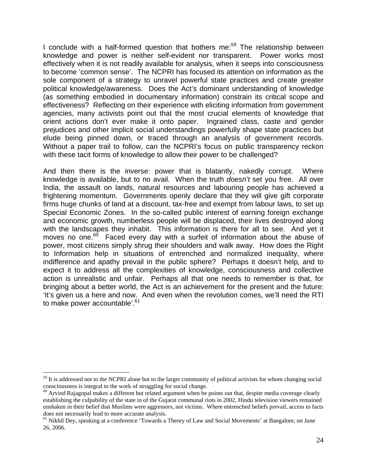I conclude with a half-formed question that bothers me:<sup>59</sup> The relationship between knowledge and power is neither self-evident nor transparent. Power works most effectively when it is not readily available for analysis, when it seeps into consciousness to become 'common sense'. The NCPRI has focused its attention on information as the sole component of a strategy to unravel powerful state practices and create greater political knowledge/awareness. Does the Act's dominant understanding of knowledge (as something embodied in documentary information) constrain its critical scope and effectiveness? Reflecting on their experience with eliciting information from government agencies, many activists point out that the most crucial elements of knowledge that orient actions don't ever make it onto paper. Ingrained class, caste and gender prejudices and other implicit social understandings powerfully shape state practices but elude being pinned down, or traced through an analysis of government records. Without a paper trail to follow, can the NCPRI's focus on public transparency reckon with these tacit forms of knowledge to allow their power to be challenged?

And then there is the inverse: power that is blatantly, nakedly corrupt. Where knowledge is available, but to no avail. When the truth *doesn't* set you free. All over India, the assault on lands, natural resources and labouring people has achieved a frightening momentum. Governments openly declare that they will give gift corporate firms huge chunks of land at a discount, tax-free and exempt from labour laws, to set up Special Economic Zones. In the so-called public interest of earning foreign exchange and economic growth, numberless people will be displaced, their lives destroyed along with the landscapes they inhabit. This information is there for all to see. And yet it moves no one.<sup>60</sup> Faced every day with a surfeit of information about the abuse of power, most citizens simply shrug their shoulders and walk away. How does the Right to Information help in situations of entrenched and normalized inequality, where indifference and apathy prevail in the public sphere? Perhaps it doesn't help, and to expect it to address all the complexities of knowledge, consciousness and collective action is unrealistic and unfair. Perhaps all that one needs to remember is that, for bringing about a better world, the Act is an achievement for the present and the future: 'It's given us a here and now. And even when the revolution comes, we'll need the RTI to make power accountable'.<sup>61</sup>

 $59$  It is addressed not to the NCPRI alone but to the larger community of political activists for whom changing social consciousness is integral to the work of struggling for social change.

 $60$  Arvind Rajagopal makes a different but related argument when he points out that, despite media coverage clearly establishing the culpability of the state in of the Gujarat communal riots in 2002, Hindu television viewers remained unshaken in their belief that Muslims were aggressors, not victims. Where entrenched beliefs prevail, access to facts does not necessarily lead to more accurate analysis.

<sup>&</sup>lt;sup>61</sup> Nikhil Dey, speaking at a conference 'Towards a Theory of Law and Social Movements' at Bangalore, on June 26, 2006.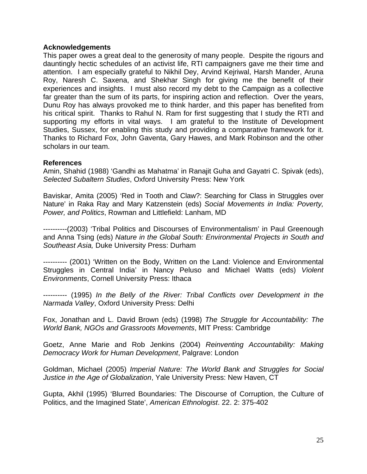### **Acknowledgements**

This paper owes a great deal to the generosity of many people. Despite the rigours and dauntingly hectic schedules of an activist life, RTI campaigners gave me their time and attention. I am especially grateful to Nikhil Dey, Arvind Kejriwal, Harsh Mander, Aruna Roy, Naresh C. Saxena, and Shekhar Singh for giving me the benefit of their experiences and insights. I must also record my debt to the Campaign as a collective far greater than the sum of its parts, for inspiring action and reflection. Over the years, Dunu Roy has always provoked me to think harder, and this paper has benefited from his critical spirit. Thanks to Rahul N. Ram for first suggesting that I study the RTI and supporting my efforts in vital ways. I am grateful to the Institute of Development Studies, Sussex, for enabling this study and providing a comparative framework for it. Thanks to Richard Fox, John Gaventa, Gary Hawes, and Mark Robinson and the other scholars in our team.

### **References**

Amin, Shahid (1988) 'Gandhi as Mahatma' in Ranajit Guha and Gayatri C. Spivak (eds), *Selected Subaltern Studies*, Oxford University Press: New York

Baviskar, Amita (2005) 'Red in Tooth and Claw?: Searching for Class in Struggles over Nature' in Raka Ray and Mary Katzenstein (eds) *Social Movements in India: Poverty, Power, and Politics*, Rowman and Littlefield: Lanham, MD

----------(2003) 'Tribal Politics and Discourses of Environmentalism' in Paul Greenough and Anna Tsing (eds) *Nature in the Global South: Environmental Projects in South and Southeast Asia,* Duke University Press: Durham

---------- (2001) 'Written on the Body, Written on the Land: Violence and Environmental Struggles in Central India' in Nancy Peluso and Michael Watts (eds) *Violent Environments*, Cornell University Press: Ithaca

---------- (1995) *In the Belly of the River: Tribal Conflicts over Development in the Narmada Valley*, Oxford University Press: Delhi

Fox, Jonathan and L. David Brown (eds) (1998) *The Struggle for Accountability: The World Bank, NGOs and Grassroots Movements*, MIT Press: Cambridge

Goetz, Anne Marie and Rob Jenkins (2004) *Reinventing Accountability: Making Democracy Work for Human Development*, Palgrave: London

Goldman, Michael (2005) *Imperial Nature: The World Bank and Struggles for Social Justice in the Age of Globalization*, Yale University Press: New Haven, CT

Gupta, Akhil (1995) 'Blurred Boundaries: The Discourse of Corruption, the Culture of Politics, and the Imagined State', *American Ethnologist*. 22. 2: 375-402